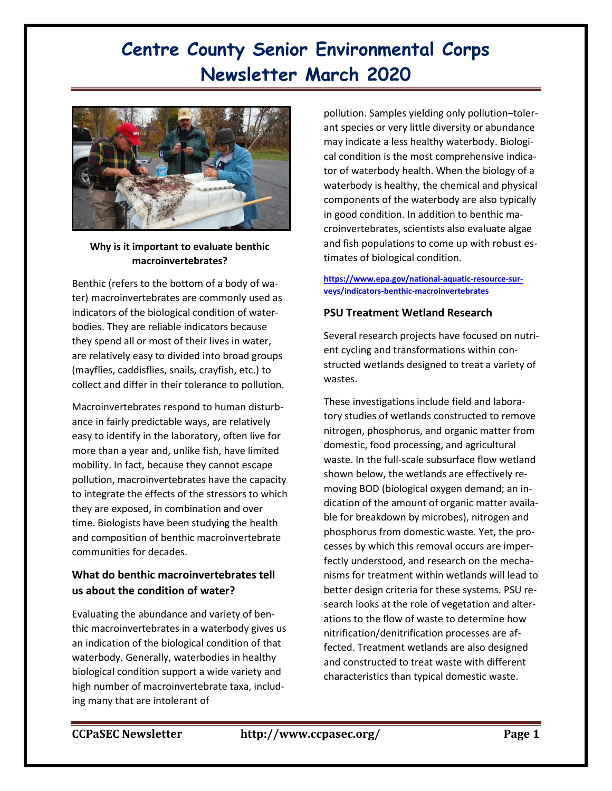# **Centre County Senior Environmental Corps Newsletter March 2020**



### **Why is it important to evaluate benthic macroinvertebrates?**

Benthic (refers to the bottom of a body of water) macroinvertebrates are commonly used as indicators of the biological condition of waterbodies. They are reliable indicators because they spend all or most of their lives in water, are relatively easy to divided into broad groups (mayflies, caddisflies, snails, crayfish, etc.) to collect and differ in their tolerance to pollution.

Macroinvertebrates respond to human disturbance in fairly predictable ways, are relatively easy to identify in the laboratory, often live for more than a year and, unlike fish, have limited mobility. In fact, because they cannot escape pollution, macroinvertebrates have the capacity to integrate the effects of the stressors to which they are exposed, in combination and over time. Biologists have been studying the health and composition of benthic macroinvertebrate communities for decades.

## **What do benthic macroinvertebrates tell us about the condition of water?**

Evaluating the abundance and variety of benthic macroinvertebrates in a waterbody gives us an indication of the biological condition of that waterbody. Generally, waterbodies in healthy biological condition support a wide variety and high number of macroinvertebrate taxa, including many that are intolerant of

pollution. Samples yielding only pollution–tolerant species or very little diversity or abundance may indicate a less healthy waterbody. Biological condition is the most comprehensive indicator of waterbody health. When the biology of a waterbody is healthy, the chemical and physical components of the waterbody are also typically in good condition. In addition to benthic macroinvertebrates, scientists also evaluate algae and fish populations to come up with robust estimates of biological condition.

#### **[https://www.epa.gov/national-aquatic-resource-sur](https://www.epa.gov/national-aquatic-resource-surveys/indicators-benthic-macroinvertebrates)[veys/indicators-benthic-macroinvertebrates](https://www.epa.gov/national-aquatic-resource-surveys/indicators-benthic-macroinvertebrates)**

## **PSU Treatment Wetland Research**

Several research projects have focused on nutrient cycling and transformations within constructed wetlands designed to treat a variety of wastes.

These investigations include field and laboratory studies of wetlands constructed to remove nitrogen, phosphorus, and organic matter from domestic, food processing, and agricultural waste. In the full-scale subsurface flow wetland shown below, the wetlands are effectively removing BOD (biological oxygen demand; an indication of the amount of organic matter available for breakdown by microbes), nitrogen and phosphorus from domestic waste. Yet, the processes by which this removal occurs are imperfectly understood, and research on the mechanisms for treatment within wetlands will lead to better design criteria for these systems. PSU research looks at the role of vegetation and alterations to the flow of waste to determine how nitrification/denitrification processes are affected. Treatment wetlands are also designed and constructed to treat waste with different characteristics than typical domestic waste.